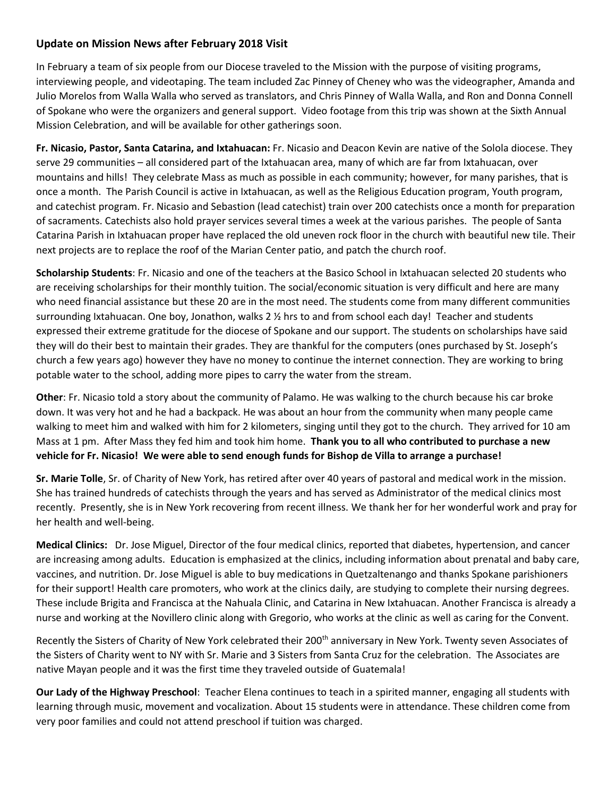## **Update on Mission News after February 2018 Visit**

In February a team of six people from our Diocese traveled to the Mission with the purpose of visiting programs, interviewing people, and videotaping. The team included Zac Pinney of Cheney who was the videographer, Amanda and Julio Morelos from Walla Walla who served as translators, and Chris Pinney of Walla Walla, and Ron and Donna Connell of Spokane who were the organizers and general support. Video footage from this trip was shown at the Sixth Annual Mission Celebration, and will be available for other gatherings soon.

**Fr. Nicasio, Pastor, Santa Catarina, and Ixtahuacan:** Fr. Nicasio and Deacon Kevin are native of the Solola diocese. They serve 29 communities – all considered part of the Ixtahuacan area, many of which are far from Ixtahuacan, over mountains and hills! They celebrate Mass as much as possible in each community; however, for many parishes, that is once a month. The Parish Council is active in Ixtahuacan, as well as the Religious Education program, Youth program, and catechist program. Fr. Nicasio and Sebastion (lead catechist) train over 200 catechists once a month for preparation of sacraments. Catechists also hold prayer services several times a week at the various parishes. The people of Santa Catarina Parish in Ixtahuacan proper have replaced the old uneven rock floor in the church with beautiful new tile. Their next projects are to replace the roof of the Marian Center patio, and patch the church roof.

**Scholarship Students**: Fr. Nicasio and one of the teachers at the Basico School in Ixtahuacan selected 20 students who are receiving scholarships for their monthly tuition. The social/economic situation is very difficult and here are many who need financial assistance but these 20 are in the most need. The students come from many different communities surrounding Ixtahuacan. One boy, Jonathon, walks 2 ½ hrs to and from school each day! Teacher and students expressed their extreme gratitude for the diocese of Spokane and our support. The students on scholarships have said they will do their best to maintain their grades. They are thankful for the computers (ones purchased by St. Joseph's church a few years ago) however they have no money to continue the internet connection. They are working to bring potable water to the school, adding more pipes to carry the water from the stream.

**Other**: Fr. Nicasio told a story about the community of Palamo. He was walking to the church because his car broke down. It was very hot and he had a backpack. He was about an hour from the community when many people came walking to meet him and walked with him for 2 kilometers, singing until they got to the church. They arrived for 10 am Mass at 1 pm. After Mass they fed him and took him home. **Thank you to all who contributed to purchase a new vehicle for Fr. Nicasio! We were able to send enough funds for Bishop de Villa to arrange a purchase!** 

**Sr. Marie Tolle**, Sr. of Charity of New York, has retired after over 40 years of pastoral and medical work in the mission. She has trained hundreds of catechists through the years and has served as Administrator of the medical clinics most recently. Presently, she is in New York recovering from recent illness. We thank her for her wonderful work and pray for her health and well-being.

**Medical Clinics:** Dr. Jose Miguel, Director of the four medical clinics, reported that diabetes, hypertension, and cancer are increasing among adults. Education is emphasized at the clinics, including information about prenatal and baby care, vaccines, and nutrition. Dr. Jose Miguel is able to buy medications in Quetzaltenango and thanks Spokane parishioners for their support! Health care promoters, who work at the clinics daily, are studying to complete their nursing degrees. These include Brigita and Francisca at the Nahuala Clinic, and Catarina in New Ixtahuacan. Another Francisca is already a nurse and working at the Novillero clinic along with Gregorio, who works at the clinic as well as caring for the Convent.

Recently the Sisters of Charity of New York celebrated their 200<sup>th</sup> anniversary in New York. Twenty seven Associates of the Sisters of Charity went to NY with Sr. Marie and 3 Sisters from Santa Cruz for the celebration. The Associates are native Mayan people and it was the first time they traveled outside of Guatemala!

**Our Lady of the Highway Preschool**: Teacher Elena continues to teach in a spirited manner, engaging all students with learning through music, movement and vocalization. About 15 students were in attendance. These children come from very poor families and could not attend preschool if tuition was charged.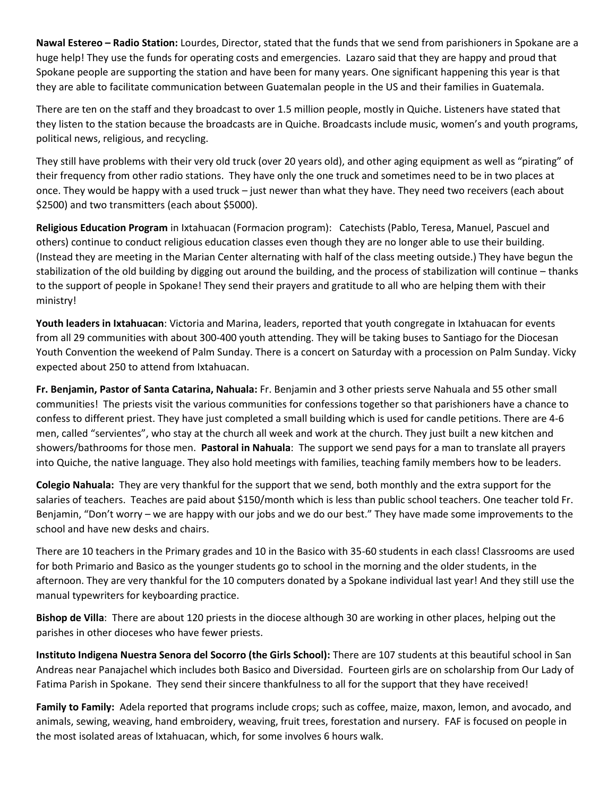**Nawal Estereo – Radio Station:** Lourdes, Director, stated that the funds that we send from parishioners in Spokane are a huge help! They use the funds for operating costs and emergencies. Lazaro said that they are happy and proud that Spokane people are supporting the station and have been for many years. One significant happening this year is that they are able to facilitate communication between Guatemalan people in the US and their families in Guatemala.

There are ten on the staff and they broadcast to over 1.5 million people, mostly in Quiche. Listeners have stated that they listen to the station because the broadcasts are in Quiche. Broadcasts include music, women's and youth programs, political news, religious, and recycling.

They still have problems with their very old truck (over 20 years old), and other aging equipment as well as "pirating" of their frequency from other radio stations. They have only the one truck and sometimes need to be in two places at once. They would be happy with a used truck – just newer than what they have. They need two receivers (each about \$2500) and two transmitters (each about \$5000).

**Religious Education Program** in Ixtahuacan (Formacion program): Catechists (Pablo, Teresa, Manuel, Pascuel and others) continue to conduct religious education classes even though they are no longer able to use their building. (Instead they are meeting in the Marian Center alternating with half of the class meeting outside.) They have begun the stabilization of the old building by digging out around the building, and the process of stabilization will continue – thanks to the support of people in Spokane! They send their prayers and gratitude to all who are helping them with their ministry!

**Youth leaders in Ixtahuacan**: Victoria and Marina, leaders, reported that youth congregate in Ixtahuacan for events from all 29 communities with about 300-400 youth attending. They will be taking buses to Santiago for the Diocesan Youth Convention the weekend of Palm Sunday. There is a concert on Saturday with a procession on Palm Sunday. Vicky expected about 250 to attend from Ixtahuacan.

**Fr. Benjamin, Pastor of Santa Catarina, Nahuala:** Fr. Benjamin and 3 other priests serve Nahuala and 55 other small communities! The priests visit the various communities for confessions together so that parishioners have a chance to confess to different priest. They have just completed a small building which is used for candle petitions. There are 4-6 men, called "servientes", who stay at the church all week and work at the church. They just built a new kitchen and showers/bathrooms for those men. **Pastoral in Nahuala**: The support we send pays for a man to translate all prayers into Quiche, the native language. They also hold meetings with families, teaching family members how to be leaders.

**Colegio Nahuala:** They are very thankful for the support that we send, both monthly and the extra support for the salaries of teachers. Teaches are paid about \$150/month which is less than public school teachers. One teacher told Fr. Benjamin, "Don't worry – we are happy with our jobs and we do our best." They have made some improvements to the school and have new desks and chairs.

There are 10 teachers in the Primary grades and 10 in the Basico with 35-60 students in each class! Classrooms are used for both Primario and Basico as the younger students go to school in the morning and the older students, in the afternoon. They are very thankful for the 10 computers donated by a Spokane individual last year! And they still use the manual typewriters for keyboarding practice.

**Bishop de Villa**: There are about 120 priests in the diocese although 30 are working in other places, helping out the parishes in other dioceses who have fewer priests.

**Instituto Indigena Nuestra Senora del Socorro (the Girls School):** There are 107 students at this beautiful school in San Andreas near Panajachel which includes both Basico and Diversidad. Fourteen girls are on scholarship from Our Lady of Fatima Parish in Spokane. They send their sincere thankfulness to all for the support that they have received!

**Family to Family:** Adela reported that programs include crops; such as coffee, maize, maxon, lemon, and avocado, and animals, sewing, weaving, hand embroidery, weaving, fruit trees, forestation and nursery. FAF is focused on people in the most isolated areas of Ixtahuacan, which, for some involves 6 hours walk.